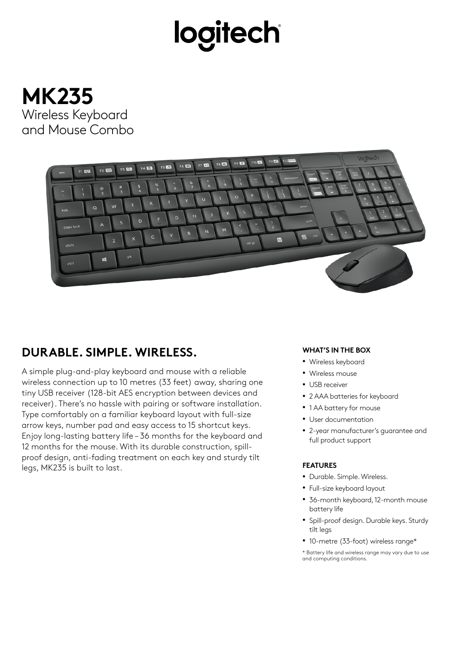# logitech





### **DURABLE. SIMPLE. WIRELESS.**

A simple plug-and-play keyboard and mouse with a reliable wireless connection up to 10 metres (33 feet) away, sharing one tiny USB receiver (128-bit AES encryption between devices and receiver). There's no hassle with pairing or software installation. Type comfortably on a familiar keyboard layout with full-size arrow keys, number pad and easy access to 15 shortcut keys. Enjoy long-lasting battery life – 36 months for the keyboard and 12 months for the mouse. With its durable construction, spillproof design, anti-fading treatment on each key and sturdy tilt legs, MK235 is built to last.

#### **WHAT'S IN THE BOX**

- Wireless keyboard
- Wireless mouse
- USB receiver
- 2 AAA batteries for keyboard
- 1 AA battery for mouse
- User documentation
- 2-year manufacturer's guarantee and full product support

#### **FEATURES**

- Durable. Simple. Wireless.
- Full-size keyboard layout
- 36-month keyboard, 12-month mouse battery life
- Spill-proof design. Durable keys. Sturdy tilt legs
- 10-metre (33-foot) wireless range\*

\* Battery life and wireless range may vary due to use and computing conditions.